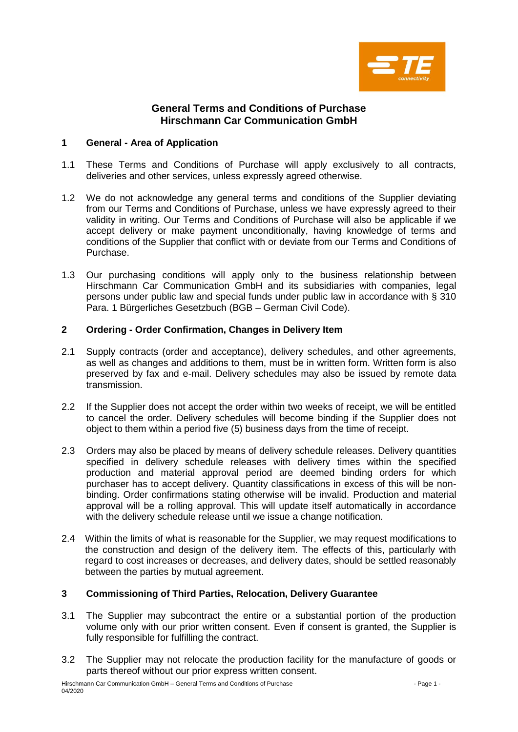

# **General Terms and Conditions of Purchase Hirschmann Car Communication GmbH**

## **1 General - Area of Application**

- 1.1 These Terms and Conditions of Purchase will apply exclusively to all contracts, deliveries and other services, unless expressly agreed otherwise.
- 1.2 We do not acknowledge any general terms and conditions of the Supplier deviating from our Terms and Conditions of Purchase, unless we have expressly agreed to their validity in writing. Our Terms and Conditions of Purchase will also be applicable if we accept delivery or make payment unconditionally, having knowledge of terms and conditions of the Supplier that conflict with or deviate from our Terms and Conditions of Purchase.
- 1.3 Our purchasing conditions will apply only to the business relationship between Hirschmann Car Communication GmbH and its subsidiaries with companies, legal persons under public law and special funds under public law in accordance with § 310 Para. 1 Bürgerliches Gesetzbuch (BGB – German Civil Code).

# **2 Ordering - Order Confirmation, Changes in Delivery Item**

- 2.1 Supply contracts (order and acceptance), delivery schedules, and other agreements, as well as changes and additions to them, must be in written form. Written form is also preserved by fax and e-mail. Delivery schedules may also be issued by remote data transmission.
- 2.2 If the Supplier does not accept the order within two weeks of receipt, we will be entitled to cancel the order. Delivery schedules will become binding if the Supplier does not object to them within a period five (5) business days from the time of receipt.
- 2.3 Orders may also be placed by means of delivery schedule releases. Delivery quantities specified in delivery schedule releases with delivery times within the specified production and material approval period are deemed binding orders for which purchaser has to accept delivery. Quantity classifications in excess of this will be nonbinding. Order confirmations stating otherwise will be invalid. Production and material approval will be a rolling approval. This will update itself automatically in accordance with the delivery schedule release until we issue a change notification.
- 2.4 Within the limits of what is reasonable for the Supplier, we may request modifications to the construction and design of the delivery item. The effects of this, particularly with regard to cost increases or decreases, and delivery dates, should be settled reasonably between the parties by mutual agreement.

# **3 Commissioning of Third Parties, Relocation, Delivery Guarantee**

- 3.1 The Supplier may subcontract the entire or a substantial portion of the production volume only with our prior written consent. Even if consent is granted, the Supplier is fully responsible for fulfilling the contract.
- 3.2 The Supplier may not relocate the production facility for the manufacture of goods or parts thereof without our prior express written consent.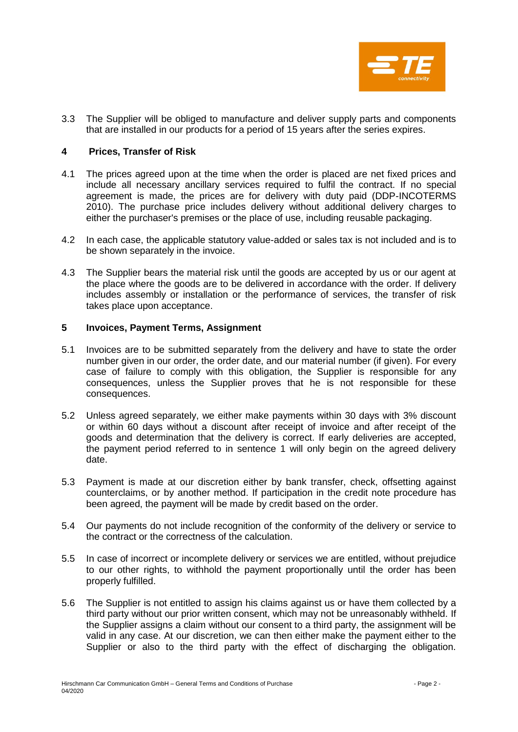

3.3 The Supplier will be obliged to manufacture and deliver supply parts and components that are installed in our products for a period of 15 years after the series expires.

## **4 Prices, Transfer of Risk**

- 4.1 The prices agreed upon at the time when the order is placed are net fixed prices and include all necessary ancillary services required to fulfil the contract. If no special agreement is made, the prices are for delivery with duty paid (DDP-INCOTERMS 2010). The purchase price includes delivery without additional delivery charges to either the purchaser's premises or the place of use, including reusable packaging.
- 4.2 In each case, the applicable statutory value-added or sales tax is not included and is to be shown separately in the invoice.
- 4.3 The Supplier bears the material risk until the goods are accepted by us or our agent at the place where the goods are to be delivered in accordance with the order. If delivery includes assembly or installation or the performance of services, the transfer of risk takes place upon acceptance.

### **5 Invoices, Payment Terms, Assignment**

- 5.1 Invoices are to be submitted separately from the delivery and have to state the order number given in our order, the order date, and our material number (if given). For every case of failure to comply with this obligation, the Supplier is responsible for any consequences, unless the Supplier proves that he is not responsible for these consequences.
- 5.2 Unless agreed separately, we either make payments within 30 days with 3% discount or within 60 days without a discount after receipt of invoice and after receipt of the goods and determination that the delivery is correct. If early deliveries are accepted, the payment period referred to in sentence 1 will only begin on the agreed delivery date.
- 5.3 Payment is made at our discretion either by bank transfer, check, offsetting against counterclaims, or by another method. If participation in the credit note procedure has been agreed, the payment will be made by credit based on the order.
- 5.4 Our payments do not include recognition of the conformity of the delivery or service to the contract or the correctness of the calculation.
- 5.5 In case of incorrect or incomplete delivery or services we are entitled, without prejudice to our other rights, to withhold the payment proportionally until the order has been properly fulfilled.
- 5.6 The Supplier is not entitled to assign his claims against us or have them collected by a third party without our prior written consent, which may not be unreasonably withheld. If the Supplier assigns a claim without our consent to a third party, the assignment will be valid in any case. At our discretion, we can then either make the payment either to the Supplier or also to the third party with the effect of discharging the obligation.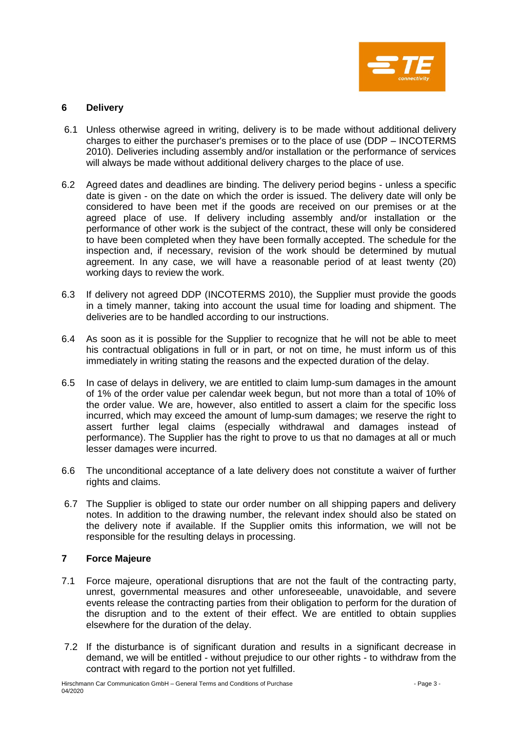

# **6 Delivery**

- 6.1 Unless otherwise agreed in writing, delivery is to be made without additional delivery charges to either the purchaser's premises or to the place of use (DDP – INCOTERMS 2010). Deliveries including assembly and/or installation or the performance of services will always be made without additional delivery charges to the place of use.
- 6.2 Agreed dates and deadlines are binding. The delivery period begins unless a specific date is given - on the date on which the order is issued. The delivery date will only be considered to have been met if the goods are received on our premises or at the agreed place of use. If delivery including assembly and/or installation or the performance of other work is the subject of the contract, these will only be considered to have been completed when they have been formally accepted. The schedule for the inspection and, if necessary, revision of the work should be determined by mutual agreement. In any case, we will have a reasonable period of at least twenty (20) working days to review the work.
- 6.3 If delivery not agreed DDP (INCOTERMS 2010), the Supplier must provide the goods in a timely manner, taking into account the usual time for loading and shipment. The deliveries are to be handled according to our instructions.
- 6.4 As soon as it is possible for the Supplier to recognize that he will not be able to meet his contractual obligations in full or in part, or not on time, he must inform us of this immediately in writing stating the reasons and the expected duration of the delay.
- 6.5 In case of delays in delivery, we are entitled to claim lump-sum damages in the amount of 1% of the order value per calendar week begun, but not more than a total of 10% of the order value. We are, however, also entitled to assert a claim for the specific loss incurred, which may exceed the amount of lump-sum damages; we reserve the right to assert further legal claims (especially withdrawal and damages instead of performance). The Supplier has the right to prove to us that no damages at all or much lesser damages were incurred.
- 6.6 The unconditional acceptance of a late delivery does not constitute a waiver of further rights and claims.
- 6.7 The Supplier is obliged to state our order number on all shipping papers and delivery notes. In addition to the drawing number, the relevant index should also be stated on the delivery note if available. If the Supplier omits this information, we will not be responsible for the resulting delays in processing.

#### **7 Force Majeure**

- 7.1 Force majeure, operational disruptions that are not the fault of the contracting party, unrest, governmental measures and other unforeseeable, unavoidable, and severe events release the contracting parties from their obligation to perform for the duration of the disruption and to the extent of their effect. We are entitled to obtain supplies elsewhere for the duration of the delay.
- 7.2 If the disturbance is of significant duration and results in a significant decrease in demand, we will be entitled - without prejudice to our other rights - to withdraw from the contract with regard to the portion not yet fulfilled.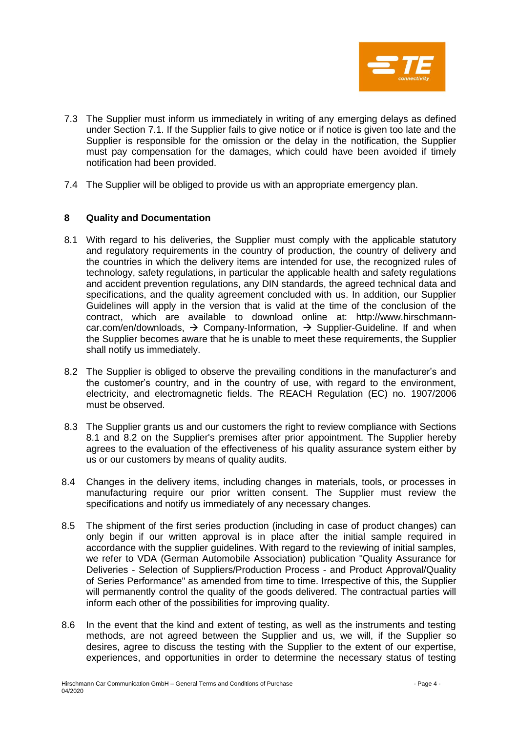

- 7.3 The Supplier must inform us immediately in writing of any emerging delays as defined under Section 7.1. If the Supplier fails to give notice or if notice is given too late and the Supplier is responsible for the omission or the delay in the notification, the Supplier must pay compensation for the damages, which could have been avoided if timely notification had been provided.
- 7.4 The Supplier will be obliged to provide us with an appropriate emergency plan.

# **8 Quality and Documentation**

- 8.1 With regard to his deliveries, the Supplier must comply with the applicable statutory and regulatory requirements in the country of production, the country of delivery and the countries in which the delivery items are intended for use, the recognized rules of technology, safety regulations, in particular the applicable health and safety regulations and accident prevention regulations, any DIN standards, the agreed technical data and specifications, and the quality agreement concluded with us. In addition, our Supplier Guidelines will apply in the version that is valid at the time of the conclusion of the contract, which are available to download online at: [http://www.hirschmann](http://www.hirschmann-car.com/)[car.com/](http://www.hirschmann-car.com/)en/downloads,  $\rightarrow$  Company-Information,  $\rightarrow$  Supplier-Guideline. If and when the Supplier becomes aware that he is unable to meet these requirements, the Supplier shall notify us immediately.
- 8.2 The Supplier is obliged to observe the prevailing conditions in the manufacturer's and the customer's country, and in the country of use, with regard to the environment, electricity, and electromagnetic fields. The REACH Regulation (EC) no. 1907/2006 must be observed.
- 8.3 The Supplier grants us and our customers the right to review compliance with Sections 8.1 and 8.2 on the Supplier's premises after prior appointment. The Supplier hereby agrees to the evaluation of the effectiveness of his quality assurance system either by us or our customers by means of quality audits.
- 8.4 Changes in the delivery items, including changes in materials, tools, or processes in manufacturing require our prior written consent. The Supplier must review the specifications and notify us immediately of any necessary changes.
- 8.5 The shipment of the first series production (including in case of product changes) can only begin if our written approval is in place after the initial sample required in accordance with the supplier guidelines. With regard to the reviewing of initial samples, we refer to VDA (German Automobile Association) publication "Quality Assurance for Deliveries - Selection of Suppliers/Production Process - and Product Approval/Quality of Series Performance" as amended from time to time. Irrespective of this, the Supplier will permanently control the quality of the goods delivered. The contractual parties will inform each other of the possibilities for improving quality.
- 8.6 In the event that the kind and extent of testing, as well as the instruments and testing methods, are not agreed between the Supplier and us, we will, if the Supplier so desires, agree to discuss the testing with the Supplier to the extent of our expertise, experiences, and opportunities in order to determine the necessary status of testing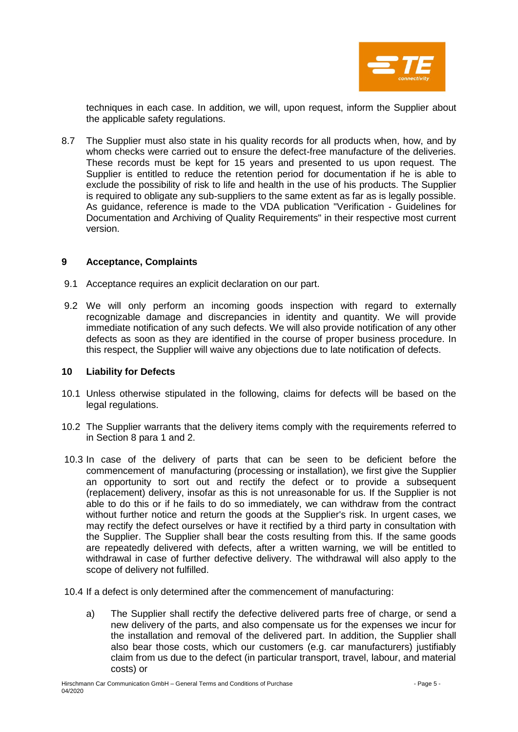

techniques in each case. In addition, we will, upon request, inform the Supplier about the applicable safety regulations.

8.7 The Supplier must also state in his quality records for all products when, how, and by whom checks were carried out to ensure the defect-free manufacture of the deliveries. These records must be kept for 15 years and presented to us upon request. The Supplier is entitled to reduce the retention period for documentation if he is able to exclude the possibility of risk to life and health in the use of his products. The Supplier is required to obligate any sub-suppliers to the same extent as far as is legally possible. As guidance, reference is made to the VDA publication "Verification - Guidelines for Documentation and Archiving of Quality Requirements" in their respective most current version.

### **9 Acceptance, Complaints**

- 9.1 Acceptance requires an explicit declaration on our part.
- 9.2 We will only perform an incoming goods inspection with regard to externally recognizable damage and discrepancies in identity and quantity. We will provide immediate notification of any such defects. We will also provide notification of any other defects as soon as they are identified in the course of proper business procedure. In this respect, the Supplier will waive any objections due to late notification of defects.

#### **10 Liability for Defects**

- 10.1 Unless otherwise stipulated in the following, claims for defects will be based on the legal regulations.
- 10.2 The Supplier warrants that the delivery items comply with the requirements referred to in Section 8 para 1 and 2.
- 10.3 In case of the delivery of parts that can be seen to be deficient before the commencement of manufacturing (processing or installation), we first give the Supplier an opportunity to sort out and rectify the defect or to provide a subsequent (replacement) delivery, insofar as this is not unreasonable for us. If the Supplier is not able to do this or if he fails to do so immediately, we can withdraw from the contract without further notice and return the goods at the Supplier's risk. In urgent cases, we may rectify the defect ourselves or have it rectified by a third party in consultation with the Supplier. The Supplier shall bear the costs resulting from this. If the same goods are repeatedly delivered with defects, after a written warning, we will be entitled to withdrawal in case of further defective delivery. The withdrawal will also apply to the scope of delivery not fulfilled.
- 10.4 If a defect is only determined after the commencement of manufacturing:
	- a) The Supplier shall rectify the defective delivered parts free of charge, or send a new delivery of the parts, and also compensate us for the expenses we incur for the installation and removal of the delivered part. In addition, the Supplier shall also bear those costs, which our customers (e.g. car manufacturers) justifiably claim from us due to the defect (in particular transport, travel, labour, and material costs) or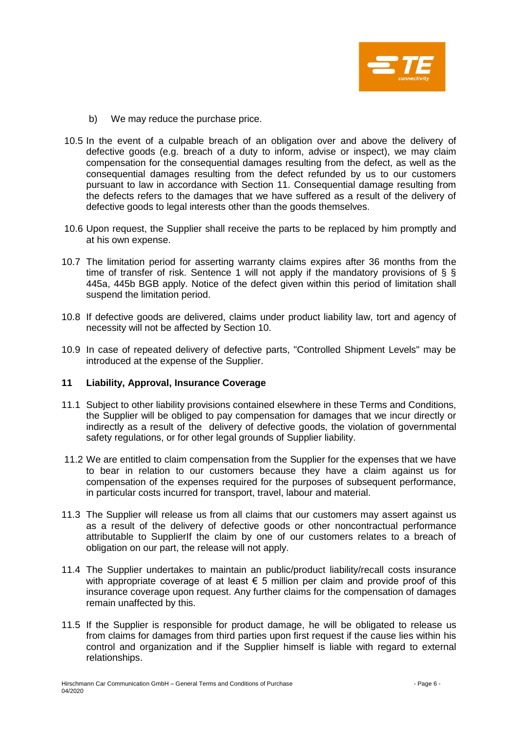

- b) We may reduce the purchase price.
- 10.5 In the event of a culpable breach of an obligation over and above the delivery of defective goods (e.g. breach of a duty to inform, advise or inspect), we may claim compensation for the consequential damages resulting from the defect, as well as the consequential damages resulting from the defect refunded by us to our customers pursuant to law in accordance with Section 11. Consequential damage resulting from the defects refers to the damages that we have suffered as a result of the delivery of defective goods to legal interests other than the goods themselves.
- 10.6 Upon request, the Supplier shall receive the parts to be replaced by him promptly and at his own expense.
- 10.7 The limitation period for asserting warranty claims expires after 36 months from the time of transfer of risk. Sentence 1 will not apply if the mandatory provisions of § § 445a, 445b BGB apply. Notice of the defect given within this period of limitation shall suspend the limitation period.
- 10.8 If defective goods are delivered, claims under product liability law, tort and agency of necessity will not be affected by Section 10.
- 10.9 In case of repeated delivery of defective parts, "Controlled Shipment Levels" may be introduced at the expense of the Supplier.

#### **11 Liability, Approval, Insurance Coverage**

- 11.1 Subject to other liability provisions contained elsewhere in these Terms and Conditions, the Supplier will be obliged to pay compensation for damages that we incur directly or indirectly as a result of the delivery of defective goods, the violation of governmental safety regulations, or for other legal grounds of Supplier liability.
- 11.2 We are entitled to claim compensation from the Supplier for the expenses that we have to bear in relation to our customers because they have a claim against us for compensation of the expenses required for the purposes of subsequent performance, in particular costs incurred for transport, travel, labour and material.
- 11.3 The Supplier will release us from all claims that our customers may assert against us as a result of the delivery of defective goods or other noncontractual performance attributable to SupplierIf the claim by one of our customers relates to a breach of obligation on our part, the release will not apply.
- 11.4 The Supplier undertakes to maintain an public/product liability/recall costs insurance with appropriate coverage of at least  $\epsilon$  5 million per claim and provide proof of this insurance coverage upon request. Any further claims for the compensation of damages remain unaffected by this.
- 11.5 If the Supplier is responsible for product damage, he will be obligated to release us from claims for damages from third parties upon first request if the cause lies within his control and organization and if the Supplier himself is liable with regard to external relationships.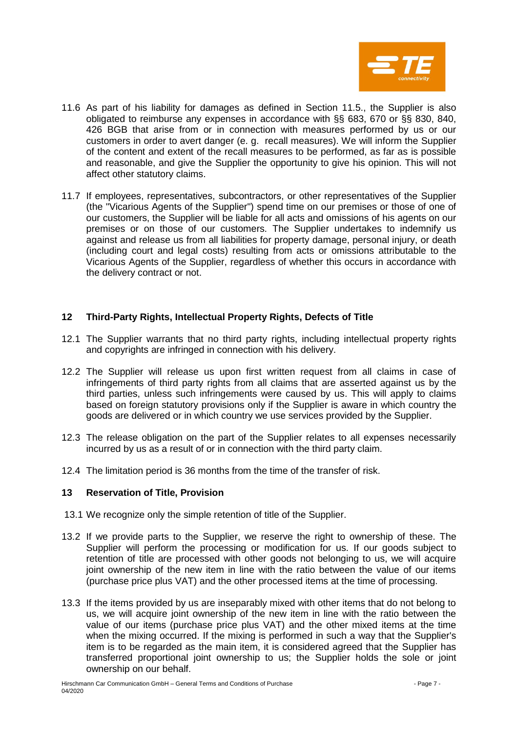

- 11.6 As part of his liability for damages as defined in Section 11.5., the Supplier is also obligated to reimburse any expenses in accordance with §§ 683, 670 or §§ 830, 840, 426 BGB that arise from or in connection with measures performed by us or our customers in order to avert danger (e. g. recall measures). We will inform the Supplier of the content and extent of the recall measures to be performed, as far as is possible and reasonable, and give the Supplier the opportunity to give his opinion. This will not affect other statutory claims.
- 11.7 If employees, representatives, subcontractors, or other representatives of the Supplier (the "Vicarious Agents of the Supplier") spend time on our premises or those of one of our customers, the Supplier will be liable for all acts and omissions of his agents on our premises or on those of our customers. The Supplier undertakes to indemnify us against and release us from all liabilities for property damage, personal injury, or death (including court and legal costs) resulting from acts or omissions attributable to the Vicarious Agents of the Supplier, regardless of whether this occurs in accordance with the delivery contract or not.

# **12 Third-Party Rights, Intellectual Property Rights, Defects of Title**

- 12.1 The Supplier warrants that no third party rights, including intellectual property rights and copyrights are infringed in connection with his delivery.
- 12.2 The Supplier will release us upon first written request from all claims in case of infringements of third party rights from all claims that are asserted against us by the third parties, unless such infringements were caused by us. This will apply to claims based on foreign statutory provisions only if the Supplier is aware in which country the goods are delivered or in which country we use services provided by the Supplier.
- 12.3 The release obligation on the part of the Supplier relates to all expenses necessarily incurred by us as a result of or in connection with the third party claim.
- 12.4 The limitation period is 36 months from the time of the transfer of risk.

# **13 Reservation of Title, Provision**

- 13.1 We recognize only the simple retention of title of the Supplier.
- 13.2 If we provide parts to the Supplier, we reserve the right to ownership of these. The Supplier will perform the processing or modification for us. If our goods subject to retention of title are processed with other goods not belonging to us, we will acquire joint ownership of the new item in line with the ratio between the value of our items (purchase price plus VAT) and the other processed items at the time of processing.
- 13.3 If the items provided by us are inseparably mixed with other items that do not belong to us, we will acquire joint ownership of the new item in line with the ratio between the value of our items (purchase price plus VAT) and the other mixed items at the time when the mixing occurred. If the mixing is performed in such a way that the Supplier's item is to be regarded as the main item, it is considered agreed that the Supplier has transferred proportional joint ownership to us; the Supplier holds the sole or joint ownership on our behalf.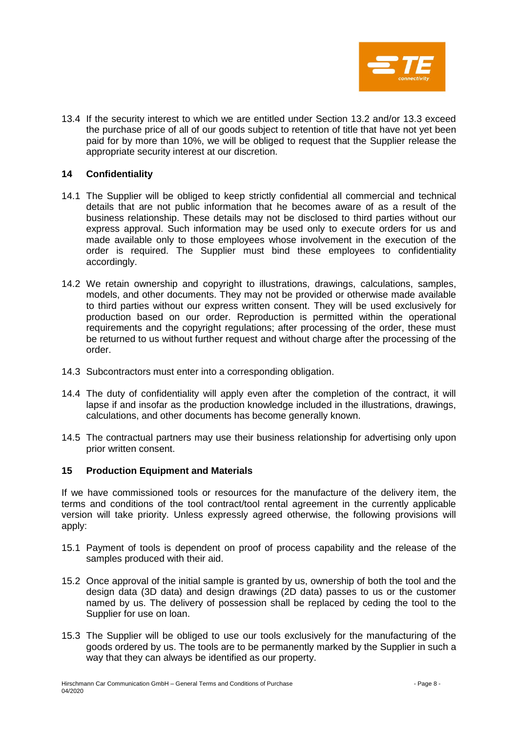

13.4 If the security interest to which we are entitled under Section 13.2 and/or 13.3 exceed the purchase price of all of our goods subject to retention of title that have not yet been paid for by more than 10%, we will be obliged to request that the Supplier release the appropriate security interest at our discretion.

### **14 Confidentiality**

- 14.1 The Supplier will be obliged to keep strictly confidential all commercial and technical details that are not public information that he becomes aware of as a result of the business relationship. These details may not be disclosed to third parties without our express approval. Such information may be used only to execute orders for us and made available only to those employees whose involvement in the execution of the order is required. The Supplier must bind these employees to confidentiality accordingly.
- 14.2 We retain ownership and copyright to illustrations, drawings, calculations, samples, models, and other documents. They may not be provided or otherwise made available to third parties without our express written consent. They will be used exclusively for production based on our order. Reproduction is permitted within the operational requirements and the copyright regulations; after processing of the order, these must be returned to us without further request and without charge after the processing of the order.
- 14.3 Subcontractors must enter into a corresponding obligation.
- 14.4 The duty of confidentiality will apply even after the completion of the contract, it will lapse if and insofar as the production knowledge included in the illustrations, drawings, calculations, and other documents has become generally known.
- 14.5 The contractual partners may use their business relationship for advertising only upon prior written consent.

#### **15 Production Equipment and Materials**

If we have commissioned tools or resources for the manufacture of the delivery item, the terms and conditions of the tool contract/tool rental agreement in the currently applicable version will take priority. Unless expressly agreed otherwise, the following provisions will apply:

- 15.1 Payment of tools is dependent on proof of process capability and the release of the samples produced with their aid.
- 15.2 Once approval of the initial sample is granted by us, ownership of both the tool and the design data (3D data) and design drawings (2D data) passes to us or the customer named by us. The delivery of possession shall be replaced by ceding the tool to the Supplier for use on loan.
- 15.3 The Supplier will be obliged to use our tools exclusively for the manufacturing of the goods ordered by us. The tools are to be permanently marked by the Supplier in such a way that they can always be identified as our property.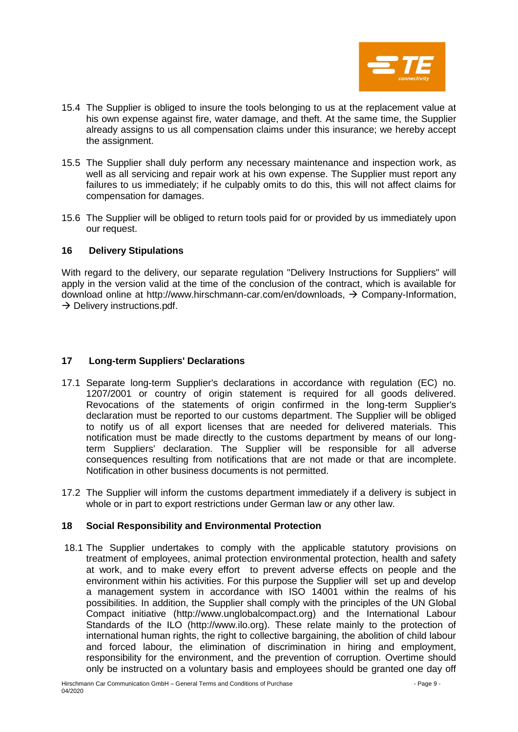

- 15.4 The Supplier is obliged to insure the tools belonging to us at the replacement value at his own expense against fire, water damage, and theft. At the same time, the Supplier already assigns to us all compensation claims under this insurance; we hereby accept the assignment.
- 15.5 The Supplier shall duly perform any necessary maintenance and inspection work, as well as all servicing and repair work at his own expense. The Supplier must report any failures to us immediately; if he culpably omits to do this, this will not affect claims for compensation for damages.
- 15.6 The Supplier will be obliged to return tools paid for or provided by us immediately upon our request.

# **16 Delivery Stipulations**

With regard to the delivery, our separate regulation "Delivery Instructions for Suppliers" will apply in the version valid at the time of the conclusion of the contract, which is available for download online at http://www.hirschmann-car.com/en/downloads, → Company-Information,  $\rightarrow$  Delivery instructions.pdf.

## **17 Long-term Suppliers' Declarations**

- 17.1 Separate long-term Supplier's declarations in accordance with regulation (EC) no. 1207/2001 or country of origin statement is required for all goods delivered. Revocations of the statements of origin confirmed in the long-term Supplier's declaration must be reported to our customs department. The Supplier will be obliged to notify us of all export licenses that are needed for delivered materials. This notification must be made directly to the customs department by means of our longterm Suppliers' declaration. The Supplier will be responsible for all adverse consequences resulting from notifications that are not made or that are incomplete. Notification in other business documents is not permitted.
- 17.2 The Supplier will inform the customs department immediately if a delivery is subject in whole or in part to export restrictions under German law or any other law.

#### **18 Social Responsibility and Environmental Protection**

18.1 The Supplier undertakes to comply with the applicable statutory provisions on treatment of employees, animal protection environmental protection, health and safety at work, and to make every effort to prevent adverse effects on people and the environment within his activities. For this purpose the Supplier will set up and develop a management system in accordance with ISO 14001 within the realms of his possibilities. In addition, the Supplier shall comply with the principles of the UN Global Compact initiative [\(http://www.unglobalcompact.org\)](http://www.unglobalcompact.org/) and the International Labour Standards of the ILO [\(http://www.ilo.org\)](http://www.ilo.org/). These relate mainly to the protection of international human rights, the right to collective bargaining, the abolition of child labour and forced labour, the elimination of discrimination in hiring and employment, responsibility for the environment, and the prevention of corruption. Overtime should only be instructed on a voluntary basis and employees should be granted one day off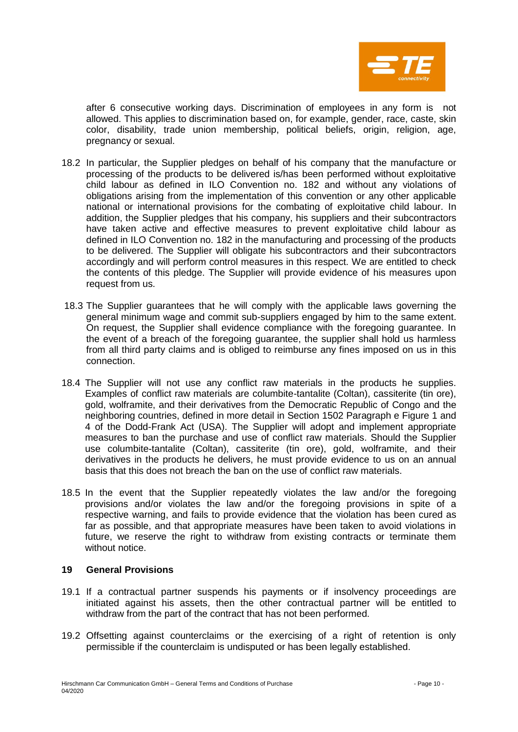

after 6 consecutive working days. Discrimination of employees in any form is not allowed. This applies to discrimination based on, for example, gender, race, caste, skin color, disability, trade union membership, political beliefs, origin, religion, age, pregnancy or sexual.

- 18.2 In particular, the Supplier pledges on behalf of his company that the manufacture or processing of the products to be delivered is/has been performed without exploitative child labour as defined in ILO Convention no. 182 and without any violations of obligations arising from the implementation of this convention or any other applicable national or international provisions for the combating of exploitative child labour. In addition, the Supplier pledges that his company, his suppliers and their subcontractors have taken active and effective measures to prevent exploitative child labour as defined in ILO Convention no. 182 in the manufacturing and processing of the products to be delivered. The Supplier will obligate his subcontractors and their subcontractors accordingly and will perform control measures in this respect. We are entitled to check the contents of this pledge. The Supplier will provide evidence of his measures upon request from us.
- 18.3 The Supplier guarantees that he will comply with the applicable laws governing the general minimum wage and commit sub-suppliers engaged by him to the same extent. On request, the Supplier shall evidence compliance with the foregoing guarantee. In the event of a breach of the foregoing guarantee, the supplier shall hold us harmless from all third party claims and is obliged to reimburse any fines imposed on us in this connection.
- 18.4 The Supplier will not use any conflict raw materials in the products he supplies. Examples of conflict raw materials are columbite-tantalite (Coltan), cassiterite (tin ore), gold, wolframite, and their derivatives from the Democratic Republic of Congo and the neighboring countries, defined in more detail in Section 1502 Paragraph e Figure 1 and 4 of the Dodd-Frank Act (USA). The Supplier will adopt and implement appropriate measures to ban the purchase and use of conflict raw materials. Should the Supplier use columbite-tantalite (Coltan), cassiterite (tin ore), gold, wolframite, and their derivatives in the products he delivers, he must provide evidence to us on an annual basis that this does not breach the ban on the use of conflict raw materials.
- 18.5 In the event that the Supplier repeatedly violates the law and/or the foregoing provisions and/or violates the law and/or the foregoing provisions in spite of a respective warning, and fails to provide evidence that the violation has been cured as far as possible, and that appropriate measures have been taken to avoid violations in future, we reserve the right to withdraw from existing contracts or terminate them without notice.

## **19 General Provisions**

- 19.1 If a contractual partner suspends his payments or if insolvency proceedings are initiated against his assets, then the other contractual partner will be entitled to withdraw from the part of the contract that has not been performed.
- 19.2 Offsetting against counterclaims or the exercising of a right of retention is only permissible if the counterclaim is undisputed or has been legally established.